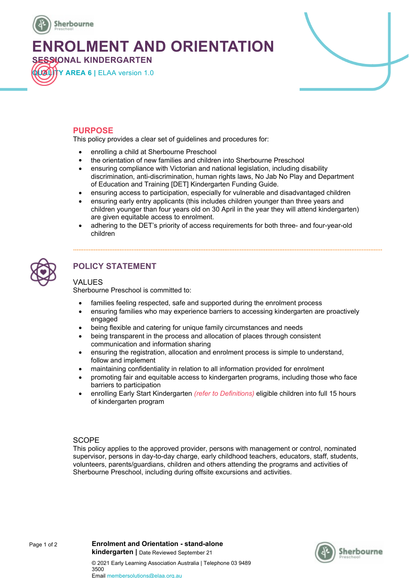

**ENROLMENT AND ORIENTATION**

**SESSIONAL KINDERGARTEN QUALITY AREA 6 |** ELAA version 1.0



## **PURPOSE**

This policy provides a clear set of guidelines and procedures for:

- enrolling a child at Sherbourne Preschool
- the orientation of new families and children into Sherbourne Preschool
- ensuring compliance with Victorian and national legislation, including disability discrimination, anti-discrimination, human rights laws, No Jab No Play and Department of Education and Training [DET] Kindergarten Funding Guide.
- ensuring access to participation, especially for vulnerable and disadvantaged children
- ensuring early entry applicants (this includes children younger than three years and children younger than four years old on 30 April in the year they will attend kindergarten) are given equitable access to enrolment.
- adhering to the DET's priority of access requirements for both three- and four-year-old children



# **POLICY STATEMENT**

## VALUES

Sherbourne Preschool is committed to:

- families feeling respected, safe and supported during the enrolment process
- ensuring families who may experience barriers to accessing kindergarten are proactively engaged
- being flexible and catering for unique family circumstances and needs
- being transparent in the process and allocation of places through consistent communication and information sharing
- ensuring the registration, allocation and enrolment process is simple to understand, follow and implement
- maintaining confidentiality in relation to all information provided for enrolment
- promoting fair and equitable access to kindergarten programs, including those who face barriers to participation
- enrolling Early Start Kindergarten *(refer to Definitions)* eligible children into full 15 hours of kindergarten program

## **SCOPE**

This policy applies to the approved provider, persons with management or control, nominated supervisor, persons in day-to-day charge, early childhood teachers, educators, staff, students, volunteers, parents/guardians, children and others attending the programs and activities of Sherbourne Preschool, including during offsite excursions and activities.

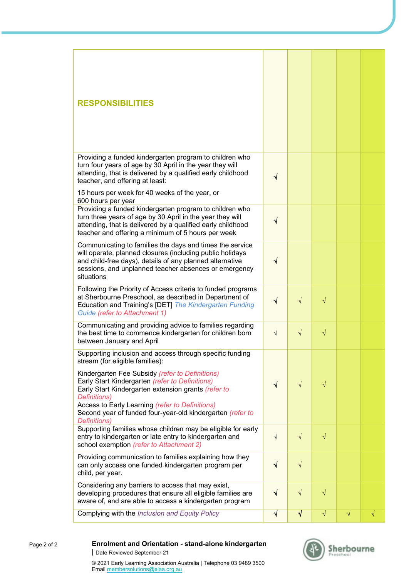| <b>RESPONSIBILITIES</b>                                                                                                                                                                                                                                                                                                                                                                                           |            |           |           |           |           |
|-------------------------------------------------------------------------------------------------------------------------------------------------------------------------------------------------------------------------------------------------------------------------------------------------------------------------------------------------------------------------------------------------------------------|------------|-----------|-----------|-----------|-----------|
| Providing a funded kindergarten program to children who<br>turn four years of age by 30 April in the year they will<br>attending, that is delivered by a qualified early childhood                                                                                                                                                                                                                                | √          |           |           |           |           |
| teacher, and offering at least:<br>15 hours per week for 40 weeks of the year, or<br>600 hours per year                                                                                                                                                                                                                                                                                                           |            |           |           |           |           |
| Providing a funded kindergarten program to children who<br>turn three years of age by 30 April in the year they will<br>attending, that is delivered by a qualified early childhood<br>teacher and offering a minimum of 5 hours per week                                                                                                                                                                         | $\sqrt{}$  |           |           |           |           |
| Communicating to families the days and times the service<br>will operate, planned closures (including public holidays<br>and child-free days), details of any planned alternative<br>sessions, and unplanned teacher absences or emergency<br>situations                                                                                                                                                          | $\sqrt{}$  |           |           |           |           |
| Following the Priority of Access criteria to funded programs<br>at Sherbourne Preschool, as described in Department of<br>Education and Training's [DET] The Kindergarten Funding<br>Guide (refer to Attachment 1)                                                                                                                                                                                                | $\sqrt{ }$ | $\sqrt{}$ | $\sqrt{}$ |           |           |
| Communicating and providing advice to families regarding<br>the best time to commence kindergarten for children born<br>between January and April                                                                                                                                                                                                                                                                 | $\sqrt{}$  | $\sqrt{}$ | $\sqrt{}$ |           |           |
| Supporting inclusion and access through specific funding<br>stream (for eligible families):<br>Kindergarten Fee Subsidy (refer to Definitions)<br>Early Start Kindergarten (refer to Definitions)<br>Early Start Kindergarten extension grants (refer to<br>Definitions)<br>Access to Early Learning (refer to Definitions)<br>Second year of funded four-year-old kindergarten (refer to<br><b>Definitions</b> ) | $\sqrt{ }$ | $\sqrt{}$ | $\sqrt{}$ |           |           |
| Supporting families whose children may be eligible for early<br>entry to kindergarten or late entry to kindergarten and<br>school exemption (refer to Attachment 2)                                                                                                                                                                                                                                               | $\sqrt{}$  | $\sqrt{}$ | $\sqrt{}$ |           |           |
| Providing communication to families explaining how they<br>can only access one funded kindergarten program per<br>child, per year.                                                                                                                                                                                                                                                                                | $\sqrt{ }$ | $\sqrt{}$ |           |           |           |
| Considering any barriers to access that may exist,<br>developing procedures that ensure all eligible families are<br>aware of, and are able to access a kindergarten program                                                                                                                                                                                                                                      | $\sqrt{ }$ | $\sqrt{}$ | $\sqrt{}$ |           |           |
| Complying with the Inclusion and Equity Policy                                                                                                                                                                                                                                                                                                                                                                    | $\sqrt{}$  | $\sqrt{}$ | $\sqrt{}$ | $\sqrt{}$ | $\sqrt{}$ |



#### **Enrolment and Orientation - stand-alone kindergarten |** Date Reviewed September 21

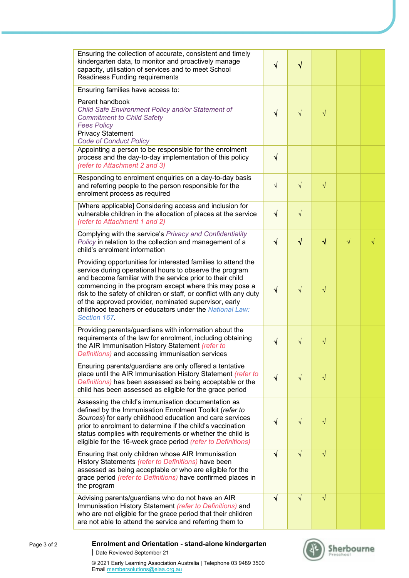| Ensuring the collection of accurate, consistent and timely<br>kindergarten data, to monitor and proactively manage<br>capacity, utilisation of services and to meet School<br>Readiness Funding requirements                                                                                                                                                                                                                                              | $\sqrt{}$ | $\sqrt{}$ |            |           |           |  |
|-----------------------------------------------------------------------------------------------------------------------------------------------------------------------------------------------------------------------------------------------------------------------------------------------------------------------------------------------------------------------------------------------------------------------------------------------------------|-----------|-----------|------------|-----------|-----------|--|
| Ensuring families have access to:<br>Parent handbook<br>Child Safe Environment Policy and/or Statement of<br><b>Commitment to Child Safety</b><br><b>Fees Policy</b><br><b>Privacy Statement</b><br><b>Code of Conduct Policy</b>                                                                                                                                                                                                                         | $\sqrt{}$ | $\sqrt{}$ | $\sqrt{}$  |           |           |  |
| Appointing a person to be responsible for the enrolment<br>process and the day-to-day implementation of this policy<br>(refer to Attachment 2 and 3)                                                                                                                                                                                                                                                                                                      | $\sqrt{}$ |           |            |           |           |  |
| Responding to enrolment enquiries on a day-to-day basis<br>and referring people to the person responsible for the<br>enrolment process as required                                                                                                                                                                                                                                                                                                        | $\sqrt{}$ | $\sqrt{}$ | $\sqrt{}$  |           |           |  |
| [Where applicable] Considering access and inclusion for<br>vulnerable children in the allocation of places at the service<br>(refer to Attachment 1 and 2)                                                                                                                                                                                                                                                                                                | $\sqrt{}$ | $\sqrt{}$ |            |           |           |  |
| Complying with the service's Privacy and Confidentiality<br>Policy in relation to the collection and management of a<br>child's enrolment information                                                                                                                                                                                                                                                                                                     | $\sqrt{}$ | $\sqrt{}$ | $\sqrt{ }$ | $\sqrt{}$ | $\sqrt{}$ |  |
| Providing opportunities for interested families to attend the<br>service during operational hours to observe the program<br>and become familiar with the service prior to their child<br>commencing in the program except where this may pose a<br>risk to the safety of children or staff, or conflict with any duty<br>of the approved provider, nominated supervisor, early<br>childhood teachers or educators under the National Law:<br>Section 167. | $\sqrt{}$ | $\sqrt{}$ | $\sqrt{}$  |           |           |  |
| Providing parents/guardians with information about the<br>requirements of the law for enrolment, including obtaining<br>the AIR Immunisation History Statement (refer to<br>Definitions) and accessing immunisation services                                                                                                                                                                                                                              | $\sqrt{}$ | $\sqrt{}$ | $\sqrt{}$  |           |           |  |
| Ensuring parents/guardians are only offered a tentative<br>place until the AIR Immunisation History Statement (refer to<br>Definitions) has been assessed as being acceptable or the<br>child has been assessed as eligible for the grace period                                                                                                                                                                                                          | $\sqrt{}$ | $\sqrt{}$ | $\sqrt{}$  |           |           |  |
| Assessing the child's immunisation documentation as<br>defined by the Immunisation Enrolment Toolkit (refer to<br>Sources) for early childhood education and care services<br>prior to enrolment to determine if the child's vaccination<br>status complies with requirements or whether the child is<br>eligible for the 16-week grace period (refer to Definitions)                                                                                     | V         | $\sqrt{}$ | $\sqrt{}$  |           |           |  |
| Ensuring that only children whose AIR Immunisation<br>History Statements (refer to Definitions) have been<br>assessed as being acceptable or who are eligible for the<br>grace period <i>(refer to Definitions)</i> have confirmed places in<br>the program                                                                                                                                                                                               | V         | $\sqrt{}$ | $\sqrt{}$  |           |           |  |
| Advising parents/guardians who do not have an AIR<br>Immunisation History Statement (refer to Definitions) and<br>who are not eligible for the grace period that their children<br>are not able to attend the service and referring them to                                                                                                                                                                                                               | ٦         | $\sqrt{}$ | $\sqrt{}$  |           |           |  |

#### **Enrolment and Orientation - stand-alone kindergarten |** Date Reviewed September 21 Page 3 of 2

© 2021 Early Learning Association Australia | Telephone 03 9489 3500 Email membersolutions@elaa.org.au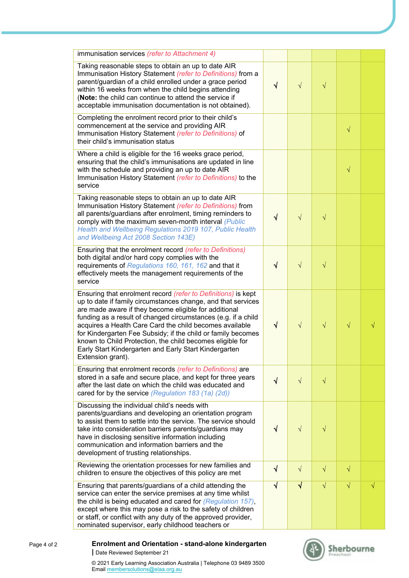| immunisation services (refer to Attachment 4)                                                                                                                                                                                                                                                                                                                                                                                                                                                                                 |           |            |           |           |           |  |
|-------------------------------------------------------------------------------------------------------------------------------------------------------------------------------------------------------------------------------------------------------------------------------------------------------------------------------------------------------------------------------------------------------------------------------------------------------------------------------------------------------------------------------|-----------|------------|-----------|-----------|-----------|--|
| Taking reasonable steps to obtain an up to date AIR<br>Immunisation History Statement (refer to Definitions) from a<br>parent/guardian of a child enrolled under a grace period<br>within 16 weeks from when the child begins attending<br>(Note: the child can continue to attend the service if<br>acceptable immunisation documentation is not obtained).                                                                                                                                                                  | $\sqrt{}$ | $\sqrt{}$  | $\sqrt{}$ |           |           |  |
| Completing the enrolment record prior to their child's<br>commencement at the service and providing AIR<br>Immunisation History Statement (refer to Definitions) of<br>their child's immunisation status                                                                                                                                                                                                                                                                                                                      |           |            |           | $\sqrt{}$ |           |  |
| Where a child is eligible for the 16 weeks grace period,<br>ensuring that the child's immunisations are updated in line<br>with the schedule and providing an up to date AIR<br>Immunisation History Statement (refer to Definitions) to the<br>service                                                                                                                                                                                                                                                                       |           |            |           | $\sqrt{}$ |           |  |
| Taking reasonable steps to obtain an up to date AIR<br>Immunisation History Statement (refer to Definitions) from<br>all parents/guardians after enrolment, timing reminders to<br>comply with the maximum seven-month interval (Public<br>Health and Wellbeing Regulations 2019 107, Public Health<br>and Wellbeing Act 2008 Section 143E)                                                                                                                                                                                   | √         | $\sqrt{}$  | $\sqrt{}$ |           |           |  |
| Ensuring that the enrolment record (refer to Definitions)<br>both digital and/or hard copy complies with the<br>requirements of Regulations 160, 161, 162 and that it<br>effectively meets the management requirements of the<br>service                                                                                                                                                                                                                                                                                      | V         | $\sqrt{}$  | $\sqrt{}$ |           |           |  |
| Ensuring that enrolment record (refer to Definitions) is kept<br>up to date if family circumstances change, and that services<br>are made aware if they become eligible for additional<br>funding as a result of changed circumstances (e.g. if a child<br>acquires a Health Care Card the child becomes available<br>for Kindergarten Fee Subsidy; if the child or family becomes<br>known to Child Protection, the child becomes eligible for<br>Early Start Kindergarten and Early Start Kindergarten<br>Extension grant). | V         | $\sqrt{}$  | $\sqrt{}$ | $\sqrt{}$ | $\sqrt{}$ |  |
| Ensuring that enrolment records (refer to Definitions) are<br>stored in a safe and secure place, and kept for three years<br>after the last date on which the child was educated and<br>cared for by the service (Regulation 183 (1a) (2d))                                                                                                                                                                                                                                                                                   | $\sqrt{}$ | $\sqrt{}$  | $\sqrt{}$ |           |           |  |
| Discussing the individual child's needs with<br>parents/guardians and developing an orientation program<br>to assist them to settle into the service. The service should<br>take into consideration barriers parents/guardians may<br>have in disclosing sensitive information including<br>communication and information barriers and the<br>development of trusting relationships.                                                                                                                                          | V         | $\sqrt{}$  | $\sqrt{}$ |           |           |  |
| Reviewing the orientation processes for new families and<br>children to ensure the objectives of this policy are met                                                                                                                                                                                                                                                                                                                                                                                                          | √         | $\sqrt{ }$ | $\sqrt{}$ | $\sqrt{}$ |           |  |
| Ensuring that parents/guardians of a child attending the<br>service can enter the service premises at any time whilst<br>the child is being educated and cared for (Regulation 157),<br>except where this may pose a risk to the safety of children<br>or staff, or conflict with any duty of the approved provider,<br>nominated supervisor, early childhood teachers or                                                                                                                                                     | V         | $\sqrt{ }$ | $\sqrt{}$ | $\sqrt{}$ | $\sqrt{}$ |  |

#### **Enrolment and Orientation - stand-alone kindergarten |** Date Reviewed September 21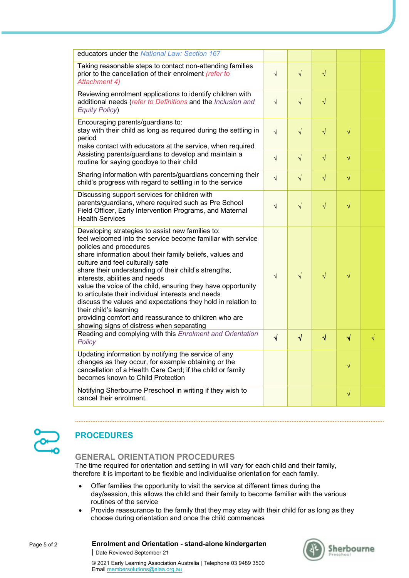| educators under the National Law: Section 167                                                                                                                                                                                                                                                                                                                                                                                                                                                                                                                                                                                                               |            |            |            |            |           |
|-------------------------------------------------------------------------------------------------------------------------------------------------------------------------------------------------------------------------------------------------------------------------------------------------------------------------------------------------------------------------------------------------------------------------------------------------------------------------------------------------------------------------------------------------------------------------------------------------------------------------------------------------------------|------------|------------|------------|------------|-----------|
| Taking reasonable steps to contact non-attending families<br>prior to the cancellation of their enrolment (refer to<br>Attachment 4)                                                                                                                                                                                                                                                                                                                                                                                                                                                                                                                        | $\sqrt{}$  | $\sqrt{}$  | $\sqrt{}$  |            |           |
| Reviewing enrolment applications to identify children with<br>additional needs (refer to Definitions and the Inclusion and<br><b>Equity Policy)</b>                                                                                                                                                                                                                                                                                                                                                                                                                                                                                                         | $\sqrt{}$  | $\sqrt{}$  | $\sqrt{}$  |            |           |
| Encouraging parents/guardians to:<br>stay with their child as long as required during the settling in<br>period<br>make contact with educators at the service, when required                                                                                                                                                                                                                                                                                                                                                                                                                                                                                | $\sqrt{}$  | $\sqrt{}$  | $\sqrt{}$  | $\sqrt{}$  |           |
| Assisting parents/guardians to develop and maintain a<br>routine for saying goodbye to their child                                                                                                                                                                                                                                                                                                                                                                                                                                                                                                                                                          | $\sqrt{}$  | $\sqrt{}$  | $\sqrt{}$  | $\sqrt{}$  |           |
| Sharing information with parents/guardians concerning their<br>child's progress with regard to settling in to the service                                                                                                                                                                                                                                                                                                                                                                                                                                                                                                                                   | $\sqrt{}$  | $\sqrt{}$  | $\sqrt{}$  | $\sqrt{}$  |           |
| Discussing support services for children with<br>parents/guardians, where required such as Pre School<br>Field Officer, Early Intervention Programs, and Maternal<br><b>Health Services</b>                                                                                                                                                                                                                                                                                                                                                                                                                                                                 | $\sqrt{}$  | $\sqrt{}$  | $\sqrt{}$  | $\sqrt{}$  |           |
| Developing strategies to assist new families to:<br>feel welcomed into the service become familiar with service<br>policies and procedures<br>share information about their family beliefs, values and<br>culture and feel culturally safe<br>share their understanding of their child's strengths,<br>interests, abilities and needs<br>value the voice of the child, ensuring they have opportunity<br>to articulate their individual interests and needs<br>discuss the values and expectations they hold in relation to<br>their child's learning<br>providing comfort and reassurance to children who are<br>showing signs of distress when separating | $\sqrt{ }$ | $\sqrt{}$  | $\sqrt{}$  | $\sqrt{}$  |           |
| Reading and complying with this Enrolment and Orientation<br>Policy                                                                                                                                                                                                                                                                                                                                                                                                                                                                                                                                                                                         | $\sqrt{ }$ | $\sqrt{ }$ | $\sqrt{ }$ | $\sqrt{ }$ | $\sqrt{}$ |
| Updating information by notifying the service of any<br>changes as they occur, for example obtaining or the<br>cancellation of a Health Care Card; if the child or family<br>becomes known to Child Protection                                                                                                                                                                                                                                                                                                                                                                                                                                              |            |            |            | $\sqrt{}$  |           |
| Notifying Sherbourne Preschool in writing if they wish to<br>cancel their enrolment.                                                                                                                                                                                                                                                                                                                                                                                                                                                                                                                                                                        |            |            |            | $\sqrt{}$  |           |



# **PROCEDURES**

**GENERAL ORIENTATION PROCEDURES**

**|** Date Reviewed September 21

The time required for orientation and settling in will vary for each child and their family, therefore it is important to be flexible and individualise orientation for each family.

- Offer families the opportunity to visit the service at different times during the day/session, this allows the child and their family to become familiar with the various routines of the service
- Provide reassurance to the family that they may stay with their child for as long as they choose during orientation and once the child commences

**Enrolment and Orientation - stand-alone kindergarten**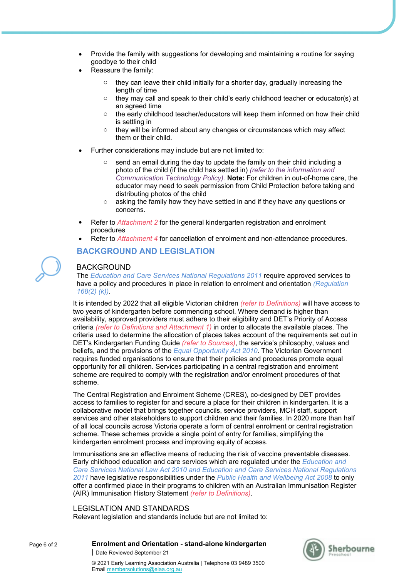- Provide the family with suggestions for developing and maintaining a routine for saying goodbye to their child
- Reassure the family:
	- $\circ$  they can leave their child initially for a shorter day, gradually increasing the length of time
	- $\circ$  they may call and speak to their child's early childhood teacher or educator(s) at an agreed time
	- o the early childhood teacher/educators will keep them informed on how their child is settling in
	- o they will be informed about any changes or circumstances which may affect them or their child.
- Further considerations may include but are not limited to:
	- o send an email during the day to update the family on their child including a photo of the child (if the child has settled in) *(refer to the information and Communication Technology Policy).* **Note:** For children in out-of-home care, the educator may need to seek permission from Child Protection before taking and distributing photos of the child
	- $\circ$  asking the family how they have settled in and if they have any questions or concerns.
- Refer to *Attachment 2* for the general kindergarten registration and enrolment procedures
- Refer to *Attachment 4* for cancellation of enrolment and non-attendance procedures.

## **BACKGROUND AND LEGISLATION**

## BACKGROUND

The *Education and Care Services National Regulations 2011* require approved services to have a policy and procedures in place in relation to enrolment and orientation *(Regulation 168(2) (k))*.

It is intended by 2022 that all eligible Victorian children *(refer to Definitions)* will have access to two years of kindergarten before commencing school. Where demand is higher than availability, approved providers must adhere to their eligibility and DET's Priority of Access criteria *(refer to Definitions and Attachment 1)* in order to allocate the available places. The criteria used to determine the allocation of places takes account of the requirements set out in DET's Kindergarten Funding Guide *(refer to Sources)*, the service's philosophy, values and beliefs, and the provisions of the *Equal Opportunity Act 2010*. The Victorian Government requires funded organisations to ensure that their policies and procedures promote equal opportunity for all children. Services participating in a central registration and enrolment scheme are required to comply with the registration and/or enrolment procedures of that scheme.

The Central Registration and Enrolment Scheme (CRES), co-designed by DET provides access to families to register for and secure a place for their children in kindergarten. It is a collaborative model that brings together councils, service providers, MCH staff, support services and other stakeholders to support children and their families. In 2020 more than half of all local councils across Victoria operate a form of central enrolment or central registration scheme. These schemes provide a single point of entry for families, simplifying the kindergarten enrolment process and improving equity of access.

Immunisations are an effective means of reducing the risk of vaccine preventable diseases. Early childhood education and care services which are regulated under the *Education and Care Services National Law Act 2010 and Education and Care Services National Regulations 2011* have legislative responsibilities under the *Public Health and Wellbeing Act 2008* to only offer a confirmed place in their programs to children with an Australian Immunisation Register (AIR) Immunisation History Statement *(refer to Definitions)*.

## LEGISLATION AND STANDARDS

Relevant legislation and standards include but are not limited to:

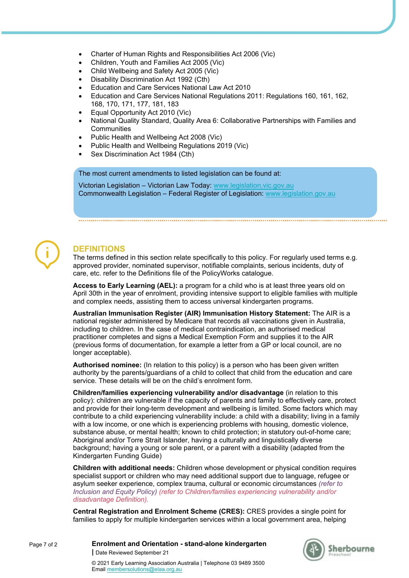- Charter of Human Rights and Responsibilities Act 2006 (Vic)
- Children, Youth and Families Act 2005 (Vic)
- Child Wellbeing and Safety Act 2005 (Vic)
- Disability Discrimination Act 1992 (Cth)
- Education and Care Services National Law Act 2010
- Education and Care Services National Regulations 2011: Regulations 160, 161, 162, 168, 170, 171, 177, 181, 183
- Equal Opportunity Act 2010 (Vic)
- National Quality Standard, Quality Area 6: Collaborative Partnerships with Families and **Communities**
- Public Health and Wellbeing Act 2008 (Vic)
- Public Health and Wellbeing Regulations 2019 (Vic)
- Sex Discrimination Act 1984 (Cth)

The most current amendments to listed legislation can be found at:

Victorian Legislation – Victorian Law Today: www.legislation.vic.gov.au Commonwealth Legislation – Federal Register of Legislation: www.legislation.gov.au



# **DEFINITIONS**

The terms defined in this section relate specifically to this policy. For regularly used terms e.g. approved provider, nominated supervisor, notifiable complaints, serious incidents, duty of care, etc. refer to the Definitions file of the PolicyWorks catalogue.

**Access to Early Learning (AEL):** a program for a child who is at least three years old on April 30th in the year of enrolment, providing intensive support to eligible families with multiple and complex needs, assisting them to access universal kindergarten programs.

**Australian Immunisation Register (AIR) Immunisation History Statement:** The AIR is a national register administered by Medicare that records all vaccinations given in Australia, including to children. In the case of medical contraindication, an authorised medical practitioner completes and signs a Medical Exemption Form and supplies it to the AIR (previous forms of documentation, for example a letter from a GP or local council, are no longer acceptable).

**Authorised nominee:** (In relation to this policy) is a person who has been given written authority by the parents/guardians of a child to collect that child from the education and care service. These details will be on the child's enrolment form.

**Children/families experiencing vulnerability and/or disadvantage** (in relation to this policy): children are vulnerable if the capacity of parents and family to effectively care, protect and provide for their long-term development and wellbeing is limited. Some factors which may contribute to a child experiencing vulnerability include: a child with a disability; living in a family with a low income, or one which is experiencing problems with housing, domestic violence, substance abuse, or mental health; known to child protection; in statutory out-of-home care; Aboriginal and/or Torre Strait Islander, having a culturally and linguistically diverse background; having a young or sole parent, or a parent with a disability (adapted from the Kindergarten Funding Guide)

**Children with additional needs:** Children whose development or physical condition requires specialist support or children who may need additional support due to language, refugee or asylum seeker experience, complex trauma, cultural or economic circumstances *(refer to Inclusion and Equity Policy) (refer to Children/families experiencing vulnerability and/or disadvantage Definition).*

**Central Registration and Enrolment Scheme (CRES):** CRES provides a single point for families to apply for multiple kindergarten services within a local government area, helping



Page 7 of 2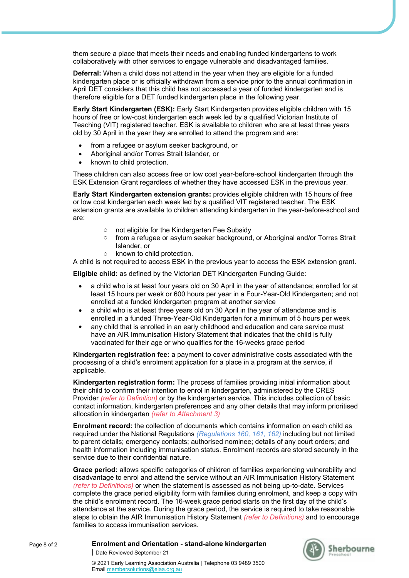them secure a place that meets their needs and enabling funded kindergartens to work collaboratively with other services to engage vulnerable and disadvantaged families.

**Deferral:** When a child does not attend in the year when they are eligible for a funded kindergarten place or is officially withdrawn from a service prior to the annual confirmation in April DET considers that this child has not accessed a year of funded kindergarten and is therefore eligible for a DET funded kindergarten place in the following year.

**Early Start Kindergarten (ESK):** Early Start Kindergarten provides eligible children with 15 hours of free or low-cost kindergarten each week led by a qualified Victorian Institute of Teaching (VIT) registered teacher. ESK is available to children who are at least three years old by 30 April in the year they are enrolled to attend the program and are:

- from a refugee or asylum seeker background, or
- Aboriginal and/or Torres Strait Islander, or
- known to child protection.

These children can also access free or low cost year-before-school kindergarten through the ESK Extension Grant regardless of whether they have accessed ESK in the previous year.

**Early Start Kindergarten extension grants:** provides eligible children with 15 hours of free or low cost kindergarten each week led by a qualified VIT registered teacher. The ESK extension grants are available to children attending kindergarten in the year-before-school and are:

- o not eligible for the Kindergarten Fee Subsidy
- o from a refugee or asylum seeker background, or Aboriginal and/or Torres Strait Islander, or
- o known to child protection.

A child is not required to access ESK in the previous year to access the ESK extension grant.

**Eligible child:** as defined by the Victorian DET Kindergarten Funding Guide:

- a child who is at least four years old on 30 April in the year of attendance; enrolled for at least 15 hours per week or 600 hours per year in a Four-Year-Old Kindergarten; and not enrolled at a funded kindergarten program at another service
- a child who is at least three years old on 30 April in the year of attendance and is enrolled in a funded Three-Year-Old Kindergarten for a minimum of 5 hours per week
- any child that is enrolled in an early childhood and education and care service must have an AIR Immunisation History Statement that indicates that the child is fully vaccinated for their age or who qualifies for the 16-weeks grace period

**Kindergarten registration fee:** a payment to cover administrative costs associated with the processing of a child's enrolment application for a place in a program at the service, if applicable.

**Kindergarten registration form:** The process of families providing initial information about their child to confirm their intention to enrol in kindergarten, administered by the CRES Provider *(refer to Definition)* or by the kindergarten service. This includes collection of basic contact information, kindergarten preferences and any other details that may inform prioritised allocation in kindergarten *(refer to Attachment 3)*

**Enrolment record:** the collection of documents which contains information on each child as required under the National Regulations *(Regulations 160, 161, 162)* including but not limited to parent details; emergency contacts; authorised nominee; details of any court orders; and health information including immunisation status. Enrolment records are stored securely in the service due to their confidential nature.

**Grace period:** allows specific categories of children of families experiencing vulnerability and disadvantage to enrol and attend the service without an AIR Immunisation History Statement *(refer to Definitions)* or when the statement is assessed as not being up-to-date. Services complete the grace period eligibility form with families during enrolment, and keep a copy with the child's enrolment record. The 16-week grace period starts on the first day of the child's attendance at the service. During the grace period, the service is required to take reasonable steps to obtain the AIR Immunisation History Statement *(refer to Definitions)* and to encourage families to access immunisation services.

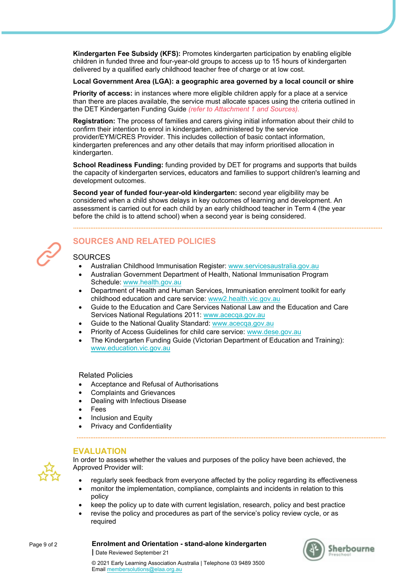**Kindergarten Fee Subsidy (KFS):** Promotes kindergarten participation by enabling eligible children in funded three and four-year-old groups to access up to 15 hours of kindergarten delivered by a qualified early childhood teacher free of charge or at low cost.

#### **Local Government Area (LGA): a geographic area governed by a local council or shire**

**Priority of access:** in instances where more eligible children apply for a place at a service than there are places available, the service must allocate spaces using the criteria outlined in the DET Kindergarten Funding Guide *(refer to Attachment 1 and Sources).*

**Registration:** The process of families and carers giving initial information about their child to confirm their intention to enrol in kindergarten, administered by the service provider/EYM/CRES Provider. This includes collection of basic contact information, kindergarten preferences and any other details that may inform prioritised allocation in kindergarten.

**School Readiness Funding:** funding provided by DET for programs and supports that builds the capacity of kindergarten services, educators and families to support children's learning and development outcomes.

**Second year of funded four-year-old kindergarten:** second year eligibility may be considered when a child shows delays in key outcomes of learning and development. An assessment is carried out for each child by an early childhood teacher in Term 4 (the year before the child is to attend school) when a second year is being considered.



# **SOURCES AND RELATED POLICIES**

## **SOURCES**

- Australian Childhood Immunisation Register: www.servicesaustralia.gov.au
- Australian Government Department of Health, National Immunisation Program Schedule: www.health.gov.au
- Department of Health and Human Services, Immunisation enrolment toolkit for early childhood education and care service: www2.health.vic.gov.au
- Guide to the Education and Care Services National Law and the Education and Care Services National Regulations 2011: www.acecqa.gov.au
- Guide to the National Quality Standard: www.acecqa.gov.au
- Priority of Access Guidelines for child care service: www.dese.gov.au
- The Kindergarten Funding Guide (Victorian Department of Education and Training): www.education.vic.gov.au

Related Policies

- Acceptance and Refusal of Authorisations
- Complaints and Grievances
- Dealing with Infectious Disease
- Fees
- Inclusion and Equity
- Privacy and Confidentiality

**|** Date Reviewed September 21

## **EVALUATION**



In order to assess whether the values and purposes of the policy have been achieved, the Approved Provider will:

- regularly seek feedback from everyone affected by the policy regarding its effectiveness
- monitor the implementation, compliance, complaints and incidents in relation to this policy
- keep the policy up to date with current legislation, research, policy and best practice
- revise the policy and procedures as part of the service's policy review cycle, or as required



**Enrolment and Orientation - stand-alone kindergarten**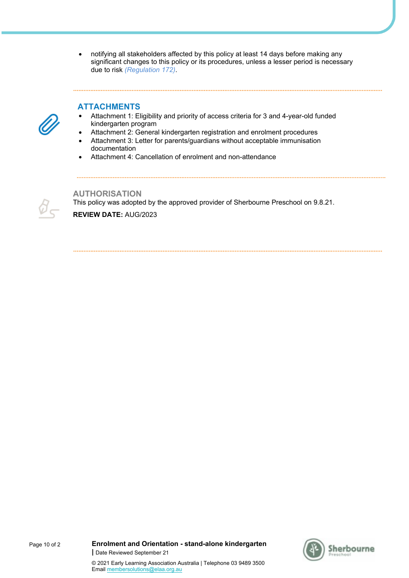notifying all stakeholders affected by this policy at least 14 days before making any significant changes to this policy or its procedures, unless a lesser period is necessary due to risk *(Regulation 172)*.

## **ATTACHMENTS**



- Attachment 1: Eligibility and priority of access criteria for 3 and 4-year-old funded kindergarten program
- Attachment 2: General kindergarten registration and enrolment procedures
- Attachment 3: Letter for parents/guardians without acceptable immunisation documentation
- Attachment 4: Cancellation of enrolment and non-attendance

**AUTHORISATION** This policy was adopted by the approved provider of Sherbourne Preschool on 9.8.21. **REVIEW DATE:** AUG/2023



© 2021 Early Learning Association Australia | Telephone 03 9489 3500

Email membersolutions@elaa.org.au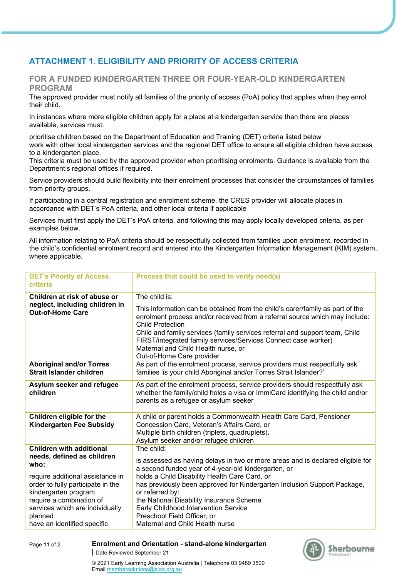# **ATTACHMENT 1. ELIGIBILITY AND PRIORITY OF ACCESS CRITERIA**

## **FOR A FUNDED KINDERGARTEN THREE OR FOUR-YEAR-OLD KINDERGARTEN PROGRAM**

The approved provider must notify all families of the priority of access (PoA) policy that applies when they enrol their child.

In instances where more eligible children apply for a place at a kindergarten service than there are places available, services must:

prioritise children based on the Department of Education and Training (DET) criteria listed below work with other local kindergarten services and the regional DET office to ensure all eligible children have access to a kindergarten place.

This criteria must be used by the approved provider when prioritising enrolments. Guidance is available from the Department's regional offices if required.

Service providers should build flexibility into their enrolment processes that consider the circumstances of families from priority groups.

If participating in a central registration and enrolment scheme, the CRES provider will allocate places in accordance with DET's PoA criteria, and other local criteria if applicable

Services must first apply the DET's PoA criteria, and following this may apply locally developed criteria, as per examples below.

All information relating to PoA criteria should be respectfully collected from families upon enrolment, recorded in the child's confidential enrolment record and entered into the Kindergarten Information Management (KIM) system, where applicable.

| <b>DET's Priority of Access</b><br>criteria                                                                                                                                                            | Process that could be used to verify need(s)                                                                                                                                                                                                                                                                                                                                                                                  |
|--------------------------------------------------------------------------------------------------------------------------------------------------------------------------------------------------------|-------------------------------------------------------------------------------------------------------------------------------------------------------------------------------------------------------------------------------------------------------------------------------------------------------------------------------------------------------------------------------------------------------------------------------|
| Children at risk of abuse or<br>neglect, including children in<br><b>Out-of-Home Care</b>                                                                                                              | The child is:<br>This information can be obtained from the child's carer/family as part of the<br>enrolment process and/or received from a referral source which may include:<br><b>Child Protection</b><br>Child and family services (family services referral and support team, Child<br>FIRST/integrated family services/Services Connect case worker)<br>Maternal and Child Health nurse, or<br>Out-of-Home Care provider |
| <b>Aboriginal and/or Torres</b><br>Strait Islander children                                                                                                                                            | As part of the enrolment process, service providers must respectfully ask<br>families 'is your child Aboriginal and/or Torres Strait Islander?'                                                                                                                                                                                                                                                                               |
| Asylum seeker and refugee<br>children                                                                                                                                                                  | As part of the enrolment process, service providers should respectfully ask<br>whether the family/child holds a visa or ImmiCard identifying the child and/or<br>parents as a refugee or asylum seeker                                                                                                                                                                                                                        |
| Children eligible for the<br><b>Kindergarten Fee Subsidy</b>                                                                                                                                           | A child or parent holds a Commonwealth Health Care Card, Pensioner<br>Concession Card, Veteran's Affairs Card, or<br>Multiple birth children (triplets, quadruplets).<br>Asylum seeker and/or refugee children                                                                                                                                                                                                                |
| <b>Children with additional</b><br>needs, defined as children<br>who:                                                                                                                                  | The child:<br>is assessed as having delays in two or more areas and is declared eligible for<br>a second funded year of 4-year-old kindergarten, or                                                                                                                                                                                                                                                                           |
| require additional assistance in<br>order to fully participate in the<br>kindergarten program<br>require a combination of<br>services which are individually<br>planned<br>have an identified specific | holds a Child Disability Health Care Card, or<br>has previously been approved for Kindergarten Inclusion Support Package,<br>or referred by:<br>the National Disability Insurance Scheme<br>Early Childhood Intervention Service<br>Preschool Field Officer, or<br>Maternal and Child Health nurse                                                                                                                            |



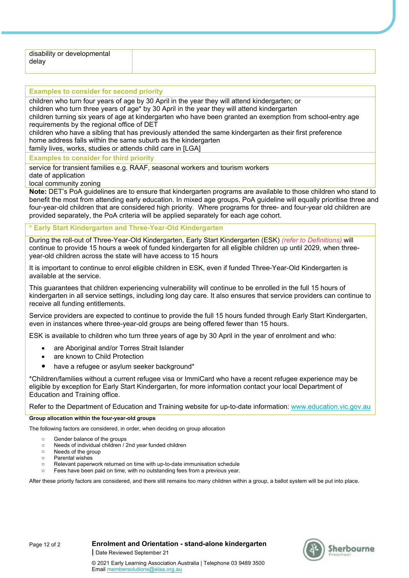| disability or developmental |  |
|-----------------------------|--|
| delay                       |  |
|                             |  |

# **Examples to consider for second priority** children who turn four years of age by 30 April in the year they will attend kindergarten; or

children who turn three years of age\* by 30 April in the year they will attend kindergarten

children turning six years of age at kindergarten who have been granted an exemption from school-entry age requirements by the regional office of DET

children who have a sibling that has previously attended the same kindergarten as their first preference home address falls within the same suburb as the kindergarten

family lives, works, studies or attends child care in [LGA]

**Examples to consider for third priority**

service for transient families e.g. RAAF, seasonal workers and tourism workers

date of application

local community zoning

**Note:** DET's PoA guidelines are to ensure that kindergarten programs are available to those children who stand to benefit the most from attending early education. In mixed age groups, PoA guideline will equally prioritise three and four-year-old children that are considered high priority. Where programs for three- and four-year old children are provided separately, the PoA criteria will be applied separately for each age cohort.

## **\* Early Start Kindergarten and Three-Year-Old Kindergarten**

During the roll-out of Three-Year-Old Kindergarten, Early Start Kindergarten (ESK) *(refer to Definitions)* will continue to provide 15 hours a week of funded kindergarten for all eligible children up until 2029, when threeyear-old children across the state will have access to 15 hours

It is important to continue to enrol eligible children in ESK, even if funded Three-Year-Old Kindergarten is available at the service.

This guarantees that children experiencing vulnerability will continue to be enrolled in the full 15 hours of kindergarten in all service settings, including long day care. It also ensures that service providers can continue to receive all funding entitlements.

Service providers are expected to continue to provide the full 15 hours funded through Early Start Kindergarten, even in instances where three-year-old groups are being offered fewer than 15 hours.

ESK is available to children who turn three years of age by 30 April in the year of enrolment and who:

- are Aboriginal and/or Torres Strait Islander
- are known to Child Protection
- have a refugee or asylum seeker background\*

\*Children/families without a current refugee visa or ImmiCard who have a recent refugee experience may be eligible by exception for Early Start Kindergarten, for more information contact your local Department of Education and Training office.

Refer to the Department of Education and Training website for up-to-date information: www.education.vic.gov.au

#### **Group allocation within the four-year-old groups**

The following factors are considered, in order, when deciding on group allocation

- o Gender balance of the groups
- o Needs of individual children / 2nd year funded children
- o Needs of the group
- o Parental wishes
- o Relevant paperwork returned on time with up-to-date immunisation schedule
- Fees have been paid on time, with no outstanding fees from a previous year.

After these priority factors are considered, and there still remains too many children within a group, a ballot system will be put into place.





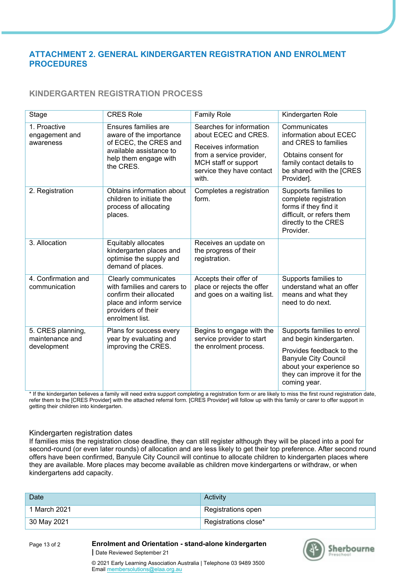## **ATTACHMENT 2. GENERAL KINDERGARTEN REGISTRATION AND ENROLMENT PROCEDURES**

## **KINDERGARTEN REGISTRATION PROCESS**

| Stage                                               | <b>CRES Role</b>                                                                                                                                    | <b>Family Role</b>                                                                                                                                                 | Kindergarten Role                                                                                                                                                                           |
|-----------------------------------------------------|-----------------------------------------------------------------------------------------------------------------------------------------------------|--------------------------------------------------------------------------------------------------------------------------------------------------------------------|---------------------------------------------------------------------------------------------------------------------------------------------------------------------------------------------|
| 1. Proactive<br>engagement and<br>awareness         | Ensures families are<br>aware of the importance<br>of ECEC, the CRES and<br>available assistance to<br>help them engage with<br>the CRES.           | Searches for information<br>about ECEC and CRES.<br>Receives information<br>from a service provider,<br>MCH staff or support<br>service they have contact<br>with. | Communicates<br>information about ECEC<br>and CRES to families<br>Obtains consent for<br>family contact details to<br>be shared with the [CRES<br>Provider].                                |
| 2. Registration                                     | Obtains information about<br>children to initiate the<br>process of allocating<br>places.                                                           | Completes a registration<br>form.                                                                                                                                  | Supports families to<br>complete registration<br>forms if they find it<br>difficult, or refers them<br>directly to the CRES<br>Provider.                                                    |
| 3. Allocation                                       | Equitably allocates<br>kindergarten places and<br>optimise the supply and<br>demand of places.                                                      | Receives an update on<br>the progress of their<br>registration.                                                                                                    |                                                                                                                                                                                             |
| 4. Confirmation and<br>communication                | Clearly communicates<br>with families and carers to<br>confirm their allocated<br>place and inform service<br>providers of their<br>enrolment list. | Accepts their offer of<br>place or rejects the offer<br>and goes on a waiting list.                                                                                | Supports families to<br>understand what an offer<br>means and what they<br>need to do next.                                                                                                 |
| 5. CRES planning,<br>maintenance and<br>development | Plans for success every<br>year by evaluating and<br>improving the CRES.                                                                            | Begins to engage with the<br>service provider to start<br>the enrolment process.                                                                                   | Supports families to enrol<br>and begin kindergarten.<br>Provides feedback to the<br><b>Banyule City Council</b><br>about your experience so<br>they can improve it for the<br>coming year. |

\* If the kindergarten believes a family will need extra support completing a registration form or are likely to miss the first round registration date, refer them to the [CRES Provider] with the attached referral form. [CRES Provider] will follow up with this family or carer to offer support in getting their children into kindergarten.

## Kindergarten registration dates

If families miss the registration close deadline, they can still register although they will be placed into a pool for second-round (or even later rounds) of allocation and are less likely to get their top preference. After second round offers have been confirmed, Banyule City Council will continue to allocate children to kindergarten places where they are available. More places may become available as children move kindergartens or withdraw, or when kindergartens add capacity.

| Date         | Activity             |
|--------------|----------------------|
| 1 March 2021 | Registrations open   |
| 30 May 2021  | Registrations close* |

Page 13 of 2

**Enrolment and Orientation - stand-alone kindergarten |** Date Reviewed September 21



© 2021 Early Learning Association Australia | Telephone 03 9489 3500 Email membersolutions@elaa.org.au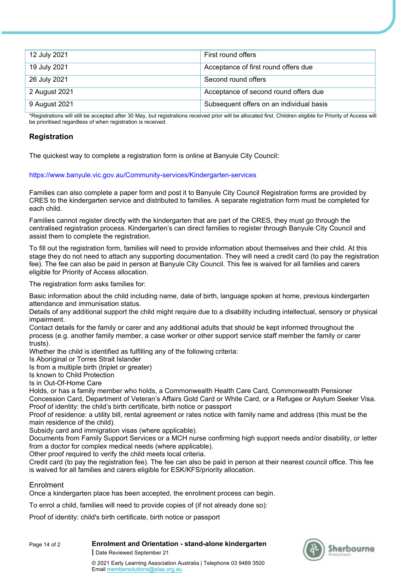| 12 July 2021  | First round offers                       |
|---------------|------------------------------------------|
| 19 July 2021  | Acceptance of first round offers due     |
| 26 July 2021  | Second round offers                      |
| 2 August 2021 | Acceptance of second round offers due    |
| 9 August 2021 | Subsequent offers on an individual basis |

\*Registrations will still be accepted after 30 May, but registrations received prior will be allocated first. Children eligible for Priority of Access will be prioritised regardless of when registration is received.

## **Registration**

The quickest way to complete a registration form is online at Banyule City Council:

#### https://www.banyule.vic.gov.au/Community-services/Kindergarten-services

Families can also complete a paper form and post it to Banyule City Council Registration forms are provided by CRES to the kindergarten service and distributed to families. A separate registration form must be completed for each child.

Families cannot register directly with the kindergarten that are part of the CRES, they must go through the centralised registration process. Kindergarten's can direct families to register through Banyule City Council and assist them to complete the registration.

To fill out the registration form, families will need to provide information about themselves and their child. At this stage they do not need to attach any supporting documentation. They will need a credit card (to pay the registration fee). The fee can also be paid in person at Banyule City Council. This fee is waived for all families and carers eligible for Priority of Access allocation.

The registration form asks families for:

Basic information about the child including name, date of birth, language spoken at home, previous kindergarten attendance and immunisation status.

Details of any additional support the child might require due to a disability including intellectual, sensory or physical impairment.

Contact details for the family or carer and any additional adults that should be kept informed throughout the process (e.g. another family member, a case worker or other support service staff member the family or carer trusts).

Whether the child is identified as fulfilling any of the following criteria:

Is Aboriginal or Torres Strait Islander

Is from a multiple birth (triplet or greater)

Is known to Child Protection

Is in Out-Of-Home Care

Holds, or has a family member who holds, a Commonwealth Health Care Card, Commonwealth Pensioner Concession Card, Department of Veteran's Affairs Gold Card or White Card, or a Refugee or Asylum Seeker Visa. Proof of identity: the child's birth certificate, birth notice or passport

Proof of residence: a utility bill, rental agreement or rates notice with family name and address (this must be the main residence of the child).

Subsidy card and immigration visas (where applicable).

Documents from Family Support Services or a MCH nurse confirming high support needs and/or disability, or letter from a doctor for complex medical needs (where applicable).

Other proof required to verify the child meets local criteria.

Credit card (to pay the registration fee). The fee can also be paid in person at their nearest council office. This fee is waived for all families and carers eligible for ESK/KFS/priority allocation.

## Enrolment

Once a kindergarten place has been accepted, the enrolment process can begin.

To enrol a child, families will need to provide copies of (if not already done so):

Proof of identity: child's birth certificate, birth notice or passport



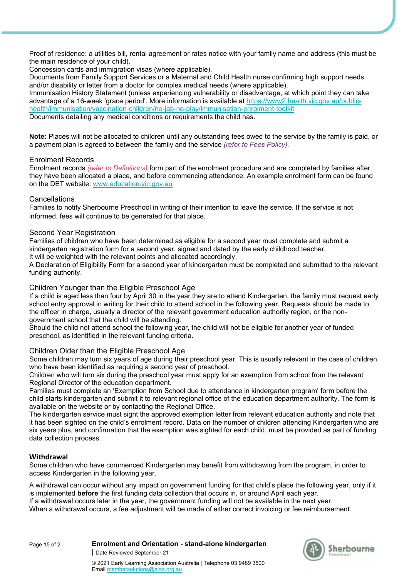Proof of residence: a utilities bill, rental agreement or rates notice with your family name and address (this must be the main residence of your child).

Concession cards and immigration visas (where applicable).

Documents from Family Support Services or a Maternal and Child Health nurse confirming high support needs and/or disability or letter from a doctor for complex medical needs (where applicable). Immunisation History Statement (unless experiencing vulnerability or disadvantage, at which point they can take advantage of a 16-week 'grace period'. More information is available at https://www2.health.vic.gov.au/publichealth/immunisation/vaccination-children/no-jab-no-play/immunisation-enrolment-toolkit Documents detailing any medical conditions or requirements the child has.

**Note:** Places will not be allocated to children until any outstanding fees owed to the service by the family is paid, or a payment plan is agreed to between the family and the service *(refer to Fees Policy).*

## Enrolment Records

Enrolment records *(refer to Definitions)* form part of the enrolment procedure and are completed by families after they have been allocated a place, and before commencing attendance. An example enrolment form can be found on the DET website: www.education.vic.gov.au

#### Cancellations

Families to notify Sherbourne Preschool in writing of their intention to leave the service. If the service is not informed, fees will continue to be generated for that place.

#### Second Year Registration

Families of children who have been determined as eligible for a second year must complete and submit a kindergarten registration form for a second year, signed and dated by the early childhood teacher. It will be weighted with the relevant points and allocated accordingly.

A Declaration of Eligibility Form for a second year of kindergarten must be completed and submitted to the relevant funding authority.

#### Children Younger than the Eligible Preschool Age

If a child is aged less than four by April 30 in the year they are to attend Kindergarten, the family must request early school entry approval in writing for their child to attend school in the following year. Requests should be made to the officer in charge, usually a director of the relevant government education authority region, or the nongovernment school that the child will be attending.

Should the child not attend school the following year, the child will not be eligible for another year of funded preschool, as identified in the relevant funding criteria.

## Children Older than the Eligible Preschool Age

Some children may turn six years of age during their preschool year. This is usually relevant in the case of children who have been identified as requiring a second year of preschool.

Children who will turn six during the preschool year must apply for an exemption from school from the relevant Regional Director of the education department.

Families must complete an 'Exemption from School due to attendance in kindergarten program' form before the child starts kindergarten and submit it to relevant regional office of the education department authority. The form is available on the website or by contacting the Regional Office.

The kindergarten service must sight the approved exemption letter from relevant education authority and note that it has been sighted on the child's enrolment record. Data on the number of children attending Kindergarten who are six years plus, and confirmation that the exemption was sighted for each child, must be provided as part of funding data collection process.

## **Withdrawal**

Some children who have commenced Kindergarten may benefit from withdrawing from the program, in order to access Kindergarten in the following year.

A withdrawal can occur without any impact on government funding for that child's place the following year, only if it is implemented **before** the first funding data collection that occurs in, or around April each year.

If a withdrawal occurs later in the year, the government funding will not be available in the next year.

When a withdrawal occurs, a fee adjustment will be made of either correct invoicing or fee reimbursement.

**Enrolment and Orientation - stand-alone kindergarten |** Date Reviewed September 21

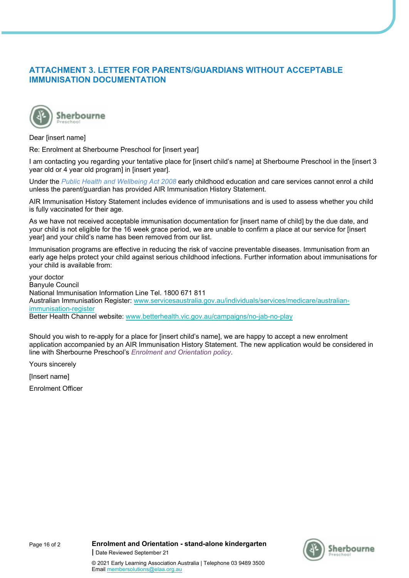## **ATTACHMENT 3. LETTER FOR PARENTS/GUARDIANS WITHOUT ACCEPTABLE IMMUNISATION DOCUMENTATION**



#### Dear [insert name]

Re: Enrolment at Sherbourne Preschool for [insert year]

I am contacting you regarding your tentative place for [insert child's name] at Sherbourne Preschool in the [insert 3 year old or 4 year old program] in [insert year].

Under the *Public Health and Wellbeing Act 2008* early childhood education and care services cannot enrol a child unless the parent/guardian has provided AIR Immunisation History Statement.

AIR Immunisation History Statement includes evidence of immunisations and is used to assess whether you child is fully vaccinated for their age.

As we have not received acceptable immunisation documentation for [insert name of child] by the due date, and your child is not eligible for the 16 week grace period, we are unable to confirm a place at our service for [insert year] and your child's name has been removed from our list.

Immunisation programs are effective in reducing the risk of vaccine preventable diseases. Immunisation from an early age helps protect your child against serious childhood infections. Further information about immunisations for your child is available from:

your doctor Banyule Council National Immunisation Information Line Tel. 1800 671 811 Australian Immunisation Register: www.servicesaustralia.gov.au/individuals/services/medicare/australianimmunisation-register Better Health Channel website: www.betterhealth.vic.gov.au/campaigns/no-jab-no-play

Should you wish to re-apply for a place for [insert child's name], we are happy to accept a new enrolment application accompanied by an AIR Immunisation History Statement. The new application would be considered in line with Sherbourne Preschool's *Enrolment and Orientation policy*.

Yours sincerely

[Insert name]

Enrolment Officer



© 2021 Early Learning Association Australia | Telephone 03 9489 3500

Email membersolutions@elaa.org.au